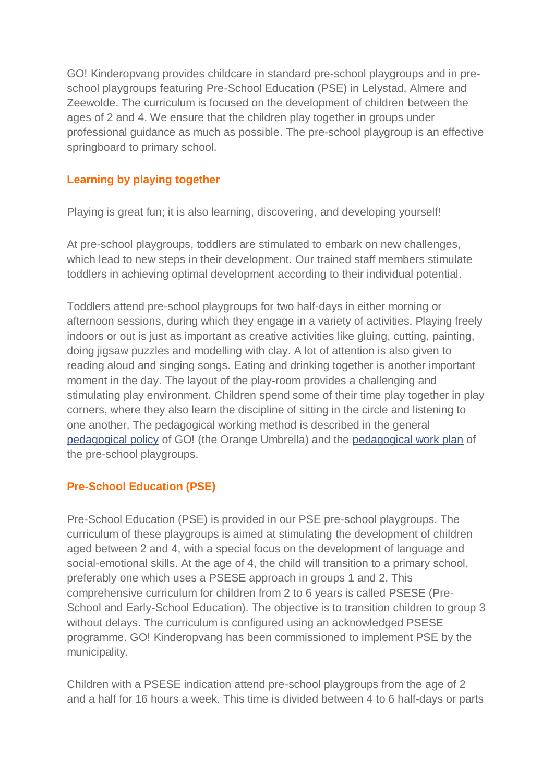GO! Kinderopvang provides childcare in standard pre-school playgroups and in preschool playgroups featuring Pre-School Education (PSE) in Lelystad, Almere and Zeewolde. The curriculum is focused on the development of children between the ages of 2 and 4. We ensure that the children play together in groups under professional guidance as much as possible. The pre-school playgroup is an effective springboard to primary school.

# **Learning by playing together**

Playing is great fun; it is also learning, discovering, and developing yourself!

At pre-school playgroups, toddlers are stimulated to embark on new challenges, which lead to new steps in their development. Our trained staff members stimulate toddlers in achieving optimal development according to their individual potential.

Toddlers attend pre-school playgroups for two half-days in either morning or afternoon sessions, during which they engage in a variety of activities. Playing freely indoors or out is just as important as creative activities like gluing, cutting, painting, doing jigsaw puzzles and modelling with clay. A lot of attention is also given to reading aloud and singing songs. Eating and drinking together is another important moment in the day. The layout of the play-room provides a challenging and stimulating play environment. Children spend some of their time play together in play corners, where they also learn the discipline of sitting in the circle and listening to one another. The pedagogical working method is described in the general [pedagogical policy](https://www.go-kinderopvang.nl/kinderopvang/peuterspeelzaal/pedagogisch-beleid/) of GO! (the Orange Umbrella) and the [pedagogical work plan](https://www.go-kinderopvang.nl/wp-content/uploads/2019/04/Pedagogisch-werkplan-PSZ-april-2021-2.pdf) of the pre-school playgroups.

## **Pre-School Education (PSE)**

Pre-School Education (PSE) is provided in our PSE pre-school playgroups. The curriculum of these playgroups is aimed at stimulating the development of children aged between 2 and 4, with a special focus on the development of language and social-emotional skills. At the age of 4, the child will transition to a primary school, preferably one which uses a PSESE approach in groups 1 and 2. This comprehensive curriculum for children from 2 to 6 years is called PSESE (Pre-School and Early-School Education). The objective is to transition children to group 3 without delays. The curriculum is configured using an acknowledged PSESE programme. GO! Kinderopvang has been commissioned to implement PSE by the municipality.

Children with a PSESE indication attend pre-school playgroups from the age of 2 and a half for 16 hours a week. This time is divided between 4 to 6 half-days or parts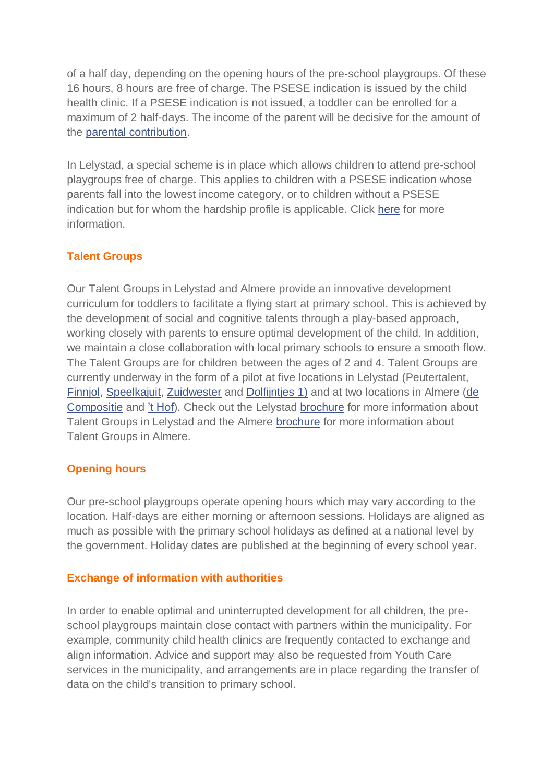of a half day, depending on the opening hours of the pre-school playgroups. Of these 16 hours, 8 hours are free of charge. The PSESE indication is issued by the child health clinic. If a PSESE indication is not issued, a toddler can be enrolled for a maximum of 2 half-days. The income of the parent will be decisive for the amount of the [parental contribution.](https://www.go-kinderopvang.nl/tarieven-peuterspeelzaal/)

In Lelystad, a special scheme is in place which allows children to attend pre-school playgroups free of charge. This applies to children with a PSESE indication whose parents fall into the lowest income category, or to children without a PSESE indication but for whom the hardship profile is applicable. Click [here](https://www.go-kinderopvang.nl/wp-content/uploads/2019/05/Regeling-gratis-psz-voor-internet-mei-2019-2.pdf) for more information.

## **Talent Groups**

Our Talent Groups in Lelystad and Almere provide an innovative development curriculum for toddlers to facilitate a flying start at primary school. This is achieved by the development of social and cognitive talents through a play-based approach, working closely with parents to ensure optimal development of the child. In addition, we maintain a close collaboration with local primary schools to ensure a smooth flow. The Talent Groups are for children between the ages of 2 and 4. Talent Groups are currently underway in the form of a pilot at five locations in Lelystad (Peutertalent, [Finnjol,](https://www.go-kinderopvang.nl/psz-de-finnjol/) [Speelkajuit,](https://www.go-kinderopvang.nl/psz-de-speelkajuit/) [Zuidwester](https://www.go-kinderopvang.nl/psz-zuidwester/) and [Dolfijntjes 1\)](https://www.go-kinderopvang.nl/dolfijntjes-1/) and at two locations in Almere [\(de](https://www.go-kinderopvang.nl/psz-de-compositie/)  [Compositie](https://www.go-kinderopvang.nl/psz-de-compositie/) and ['t Hof\)](https://www.go-kinderopvang.nl/psz-het-hof/). Check out the Lelystad [brochure](https://www.go-kinderopvang.nl/wp-content/uploads/2019/04/Folder-Talentgroepen.pdf) for more information about Talent Groups in Lelystad and the Almere [brochure](https://www.go-kinderopvang.nl/wp-content/uploads/2020/10/Folder-Talentgroep-t-Hof.pdf) for more information about Talent Groups in Almere.

## **Opening hours**

Our pre-school playgroups operate opening hours which may vary according to the location. Half-days are either morning or afternoon sessions. Holidays are aligned as much as possible with the primary school holidays as defined at a national level by the government. Holiday dates are published at the beginning of every school year.

## **Exchange of information with authorities**

In order to enable optimal and uninterrupted development for all children, the preschool playgroups maintain close contact with partners within the municipality. For example, community child health clinics are frequently contacted to exchange and align information. Advice and support may also be requested from Youth Care services in the municipality, and arrangements are in place regarding the transfer of data on the child's transition to primary school.